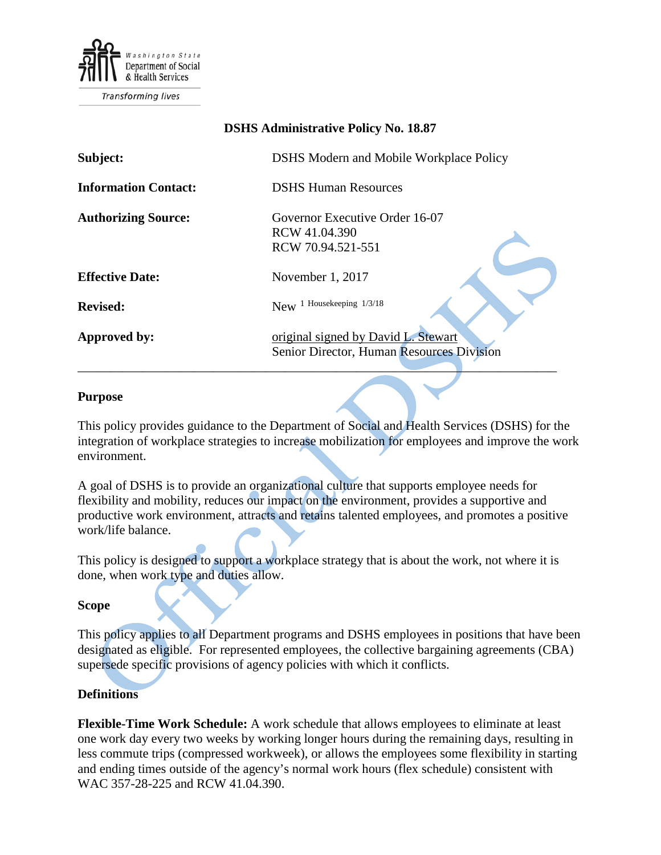

Transforming lives

# **DSHS Administrative Policy No. 18.87**

| Subject:                    | <b>DSHS Modern and Mobile Workplace Policy</b>                                   |
|-----------------------------|----------------------------------------------------------------------------------|
| <b>Information Contact:</b> | <b>DSHS Human Resources</b>                                                      |
| <b>Authorizing Source:</b>  | Governor Executive Order 16-07<br>RCW 41.04.390<br>RCW 70.94.521-551             |
| <b>Effective Date:</b>      | November 1, 2017                                                                 |
| <b>Revised:</b>             | 1 Housekeeping 1/3/18<br><b>New</b>                                              |
| <b>Approved by:</b>         | original signed by David L. Stewart<br>Senior Director, Human Resources Division |

#### **Purpose**

This policy provides guidance to the Department of Social and Health Services (DSHS) for the integration of workplace strategies to increase mobilization for employees and improve the work environment.

A goal of DSHS is to provide an organizational culture that supports employee needs for flexibility and mobility, reduces our impact on the environment, provides a supportive and productive work environment, attracts and retains talented employees, and promotes a positive work/life balance.

This policy is designed to support a workplace strategy that is about the work, not where it is done, when work type and duties allow.

### **Scope**

This policy applies to all Department programs and DSHS employees in positions that have been designated as eligible. For represented employees, the collective bargaining agreements (CBA) supersede specific provisions of agency policies with which it conflicts.

### **Definitions**

**Flexible-Time Work Schedule:** A work schedule that allows employees to eliminate at least one work day every two weeks by working longer hours during the remaining days, resulting in less commute trips (compressed workweek), or allows the employees some flexibility in starting and ending times outside of the agency's normal work hours (flex schedule) consistent with WAC 357-28-225 and RCW 41.04.390.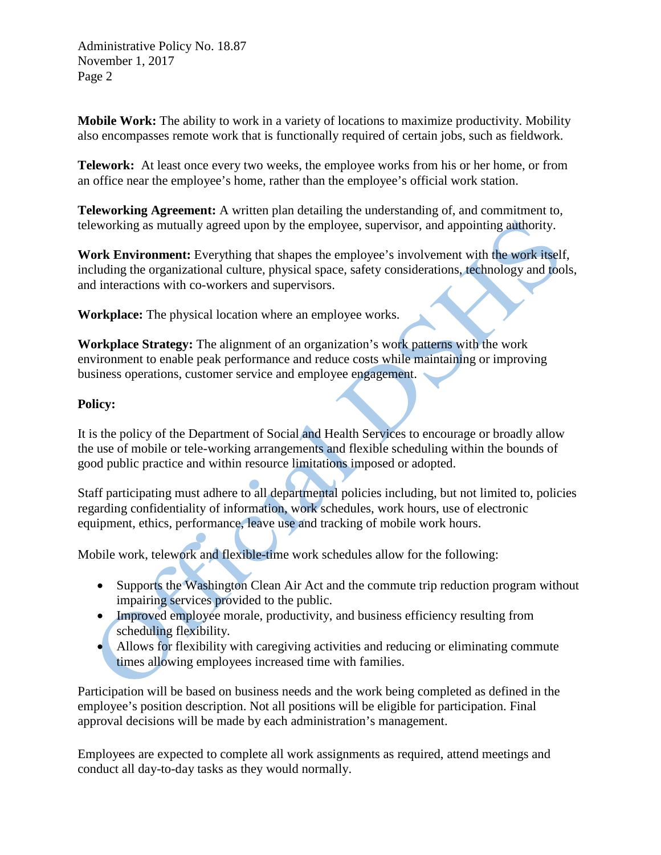Administrative Policy No. 18.87 November 1, 2017 Page 2

**Mobile Work:** The ability to work in a variety of locations to maximize productivity. Mobility also encompasses remote work that is functionally required of certain jobs, such as fieldwork.

**Telework:** At least once every two weeks, the employee works from his or her home, or from an office near the employee's home, rather than the employee's official work station.

**Teleworking Agreement:** A written plan detailing the understanding of, and commitment to, teleworking as mutually agreed upon by the employee, supervisor, and appointing authority.

**Work Environment:** Everything that shapes the employee's involvement with the work itself, including the organizational culture, physical space, safety considerations, technology and tools, and interactions with co-workers and supervisors.

**Workplace:** The physical location where an employee works.

**Workplace Strategy:** The alignment of an organization's work patterns with the work environment to enable peak performance and reduce costs while maintaining or improving business operations, customer service and employee engagement.

# **Policy:**

It is the policy of the Department of Social and Health Services to encourage or broadly allow the use of mobile or tele-working arrangements and flexible scheduling within the bounds of good public practice and within resource limitations imposed or adopted.

Staff participating must adhere to all departmental policies including, but not limited to, policies regarding confidentiality of information, work schedules, work hours, use of electronic equipment, ethics, performance, leave use and tracking of mobile work hours.

Mobile work, telework and flexible-time work schedules allow for the following:

- Supports the Washington Clean Air Act and the commute trip reduction program without impairing services provided to the public.
- Improved employee morale, productivity, and business efficiency resulting from scheduling flexibility.
- Allows for flexibility with caregiving activities and reducing or eliminating commute times allowing employees increased time with families.

Participation will be based on business needs and the work being completed as defined in the employee's position description. Not all positions will be eligible for participation. Final approval decisions will be made by each administration's management.

Employees are expected to complete all work assignments as required, attend meetings and conduct all day-to-day tasks as they would normally.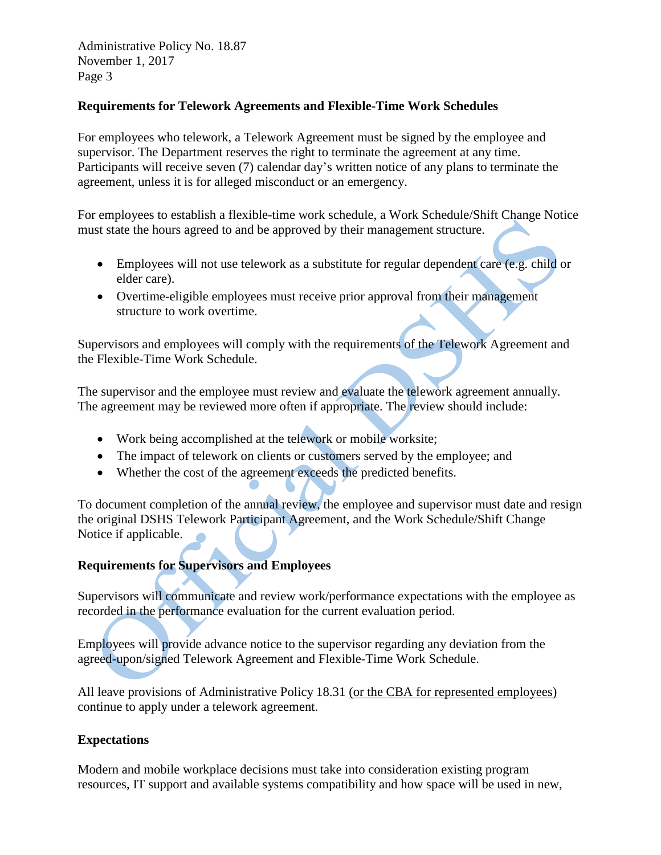Administrative Policy No. 18.87 November 1, 2017 Page 3

### **Requirements for Telework Agreements and Flexible-Time Work Schedules**

For employees who telework, a Telework Agreement must be signed by the employee and supervisor. The Department reserves the right to terminate the agreement at any time. Participants will receive seven (7) calendar day's written notice of any plans to terminate the agreement, unless it is for alleged misconduct or an emergency.

For employees to establish a flexible-time work schedule, a Work Schedule/Shift Change Notice must state the hours agreed to and be approved by their management structure.

- Employees will not use telework as a substitute for regular dependent care (e.g. child or elder care).
- Overtime-eligible employees must receive prior approval from their management structure to work overtime.

Supervisors and employees will comply with the requirements of the Telework Agreement and the Flexible-Time Work Schedule.

The supervisor and the employee must review and evaluate the telework agreement annually. The agreement may be reviewed more often if appropriate. The review should include:

- Work being accomplished at the telework or mobile worksite;
- The impact of telework on clients or customers served by the employee; and
- Whether the cost of the agreement exceeds the predicted benefits.

To document completion of the annual review, the employee and supervisor must date and resign the original DSHS Telework Participant Agreement, and the Work Schedule/Shift Change Notice if applicable.

# **Requirements for Supervisors and Employees**

Supervisors will communicate and review work/performance expectations with the employee as recorded in the performance evaluation for the current evaluation period.

Employees will provide advance notice to the supervisor regarding any deviation from the agreed-upon/signed Telework Agreement and Flexible-Time Work Schedule.

All leave provisions of Administrative Policy 18.31 (or the CBA for represented employees) continue to apply under a telework agreement.

# **Expectations**

Modern and mobile workplace decisions must take into consideration existing program resources, IT support and available systems compatibility and how space will be used in new,